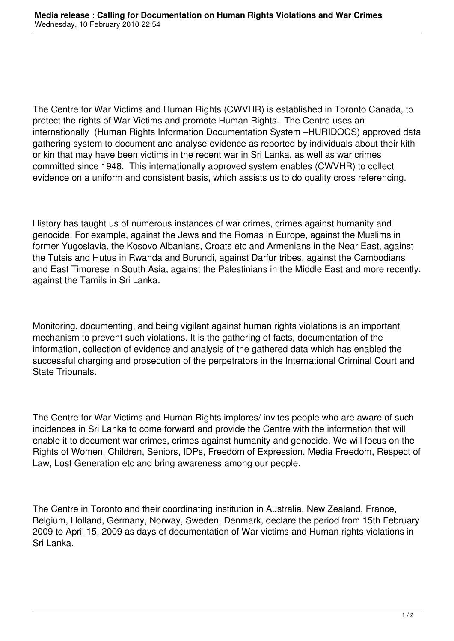The Centre for War Victims and Human Rights (CWVHR) is established in Toronto Canada, to protect the rights of War Victims and promote Human Rights. The Centre uses an internationally (Human Rights Information Documentation System –HURIDOCS) approved data gathering system to document and analyse evidence as reported by individuals about their kith or kin that may have been victims in the recent war in Sri Lanka, as well as war crimes committed since 1948. This internationally approved system enables (CWVHR) to collect evidence on a uniform and consistent basis, which assists us to do quality cross referencing.

History has taught us of numerous instances of war crimes, crimes against humanity and genocide. For example, against the Jews and the Romas in Europe, against the Muslims in former Yugoslavia, the Kosovo Albanians, Croats etc and Armenians in the Near East, against the Tutsis and Hutus in Rwanda and Burundi, against Darfur tribes, against the Cambodians and East Timorese in South Asia, against the Palestinians in the Middle East and more recently, against the Tamils in Sri Lanka.

Monitoring, documenting, and being vigilant against human rights violations is an important mechanism to prevent such violations. It is the gathering of facts, documentation of the information, collection of evidence and analysis of the gathered data which has enabled the successful charging and prosecution of the perpetrators in the International Criminal Court and State Tribunals.

The Centre for War Victims and Human Rights implores/ invites people who are aware of such incidences in Sri Lanka to come forward and provide the Centre with the information that will enable it to document war crimes, crimes against humanity and genocide. We will focus on the Rights of Women, Children, Seniors, IDPs, Freedom of Expression, Media Freedom, Respect of Law, Lost Generation etc and bring awareness among our people.

The Centre in Toronto and their coordinating institution in Australia, New Zealand, France, Belgium, Holland, Germany, Norway, Sweden, Denmark, declare the period from 15th February 2009 to April 15, 2009 as days of documentation of War victims and Human rights violations in Sri Lanka.